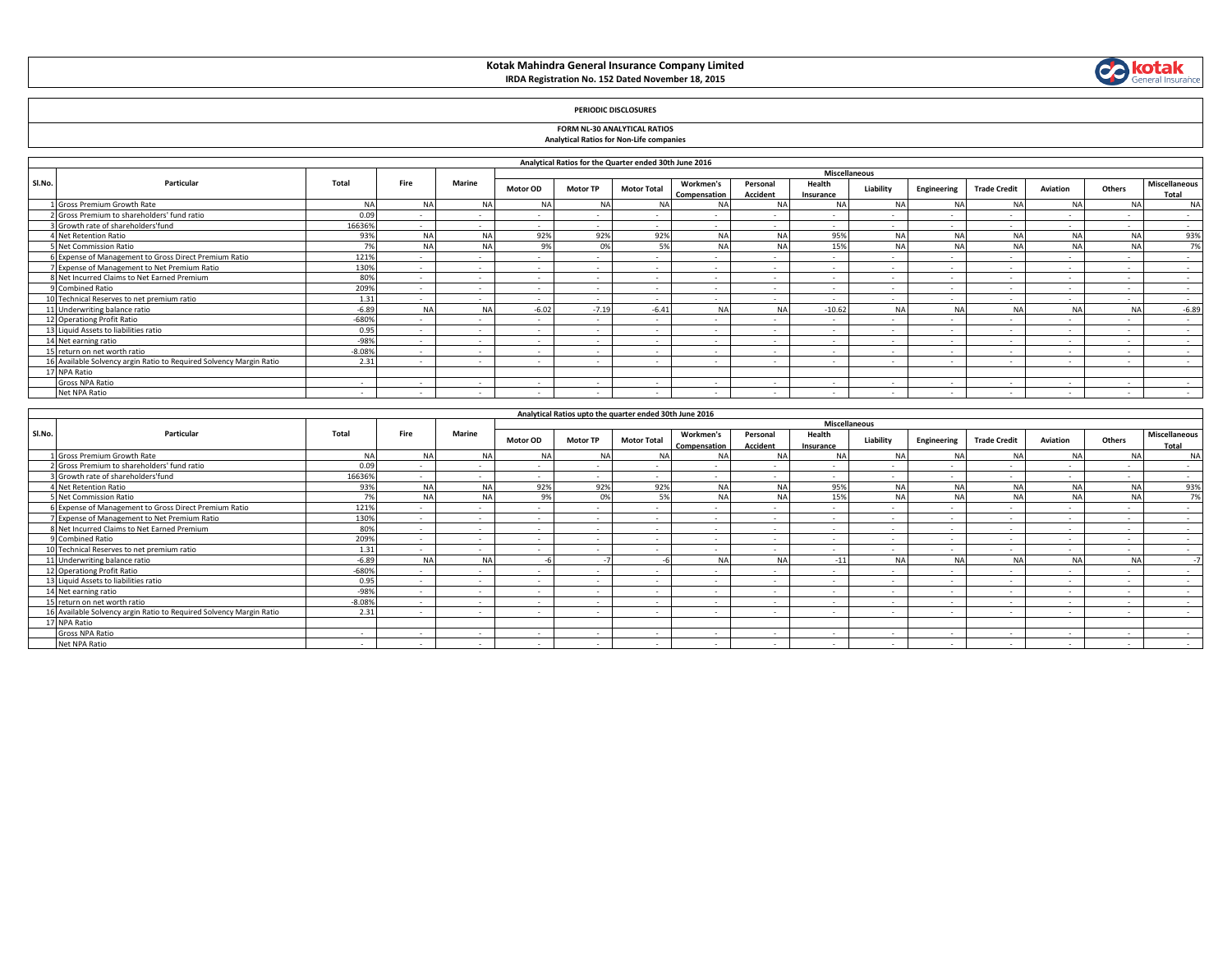# **Kotak Mahindra General Insurance Company Limited IRDA Registration No. 152 Dated November 18, 2015**



## **PERIODIC DISCLOSURES**

### **FORM NL-30 ANALYTICAL RATIOS Analytical Ratios for Non-Life companies**

|        |                                                                     |          |                |               |                 |                 | Analytical Ratios for the Quarter ended 30th June 2016 |                           |                          |                                      |                |                          |                     |                          |                |                               |
|--------|---------------------------------------------------------------------|----------|----------------|---------------|-----------------|-----------------|--------------------------------------------------------|---------------------------|--------------------------|--------------------------------------|----------------|--------------------------|---------------------|--------------------------|----------------|-------------------------------|
| Sl.No. | Particular                                                          | Total    | Fire           | <b>Marine</b> | <b>Motor OD</b> | <b>Motor TP</b> | <b>Motor Total</b>                                     | Workmen's<br>Compensation | Personal<br>Accident     | Miscellaneous<br>Health<br>Insurance | Liability      | Engineering              | <b>Trade Credit</b> | Aviation                 | Others         | <b>Miscellaneous</b><br>Total |
|        | Gross Premium Growth Rate                                           | NA       | NΔ             | N.            | <b>NA</b>       | N/              | <b>NA</b>                                              |                           |                          |                                      | N.             |                          | <b>NA</b>           |                          | <b>NA</b>      | <b>NA</b>                     |
|        | Gross Premium to shareholders' fund ratio                           | 0.05     |                |               |                 |                 |                                                        |                           |                          |                                      |                |                          |                     |                          |                | $\sim$                        |
|        | Growth rate of shareholders'fund                                    | 16636%   |                |               |                 | $\sim$          | $\overline{\phantom{a}}$                               |                           | $\overline{\phantom{a}}$ | $\sim$                               |                |                          | $\sim$              | $\sim$                   | $\overline{a}$ | $\sim$                        |
|        | Net Retention Ratio                                                 | 93%      | NΔ             |               | 92%             | 92%             | 92%                                                    | <b>NA</b>                 | N                        | 95%                                  | <b>NA</b>      |                          | <b>NA</b>           |                          | <b>NA</b>      | 93%                           |
|        | Net Commission Ratio                                                | 7%       | N <sub>A</sub> |               | 9%              | $\Omega$ %      | 5%                                                     | <b>NA</b>                 | NΔ                       | 15%                                  | N <sub>4</sub> | NΔ                       | NΔ                  |                          | NΔ             | 7%                            |
|        | 6 Expense of Management to Gross Direct Premium Ratio               | 1219     |                |               |                 | $\sim$          | $\overline{\phantom{a}}$                               | $\overline{\phantom{a}}$  |                          | $\overline{\phantom{a}}$             |                |                          |                     | $\overline{\phantom{a}}$ | $\sim$         | $\sim$                        |
|        | 7 Expense of Management to Net Premium Ratio                        | 130%     |                | $\sim$        | $\sim$          | $\sim$          | $\sim$                                                 | $\sim$                    | $\sim$                   | $\overline{a}$                       |                | $\overline{\phantom{a}}$ | $\sim$              | $\sim$                   | $\sim$         | $\sim$                        |
|        | 8 Net Incurred Claims to Net Earned Premium                         | 80%      |                |               |                 | $\sim$          |                                                        |                           |                          | . .                                  |                |                          |                     | $\overline{\phantom{a}}$ | $\sim$         | $\overline{a}$                |
|        | 9 Combined Ratio                                                    | 209%     |                | $\sim$        | $\sim$          | $\sim$          | $\sim$                                                 | $\overline{\phantom{a}}$  | $\overline{\phantom{a}}$ | $\sim$                               |                |                          | $\sim$              | $\sim$                   | $\sim$         | $\sim$                        |
|        | 10 Technical Reserves to net premium ratio                          | 1.31     |                |               |                 | $\sim$          | $\overline{\phantom{a}}$                               | $\overline{\phantom{a}}$  |                          |                                      |                |                          |                     | $\sim$                   | $\sim$         | $\sim$                        |
|        | 11 Underwriting balance ratio                                       | $-6.89$  | NΔ             |               | $-6.02$         | $-7.19$         | $-6.41$                                                | NA                        | NΔ                       | $-10.62$                             | <b>NA</b>      | NΔ                       | NΔ                  |                          | NA             | $-6.89$                       |
|        | 12 Operationg Profit Ratio                                          | $-680%$  |                |               |                 | $\sim$          | $\overline{a}$                                         |                           |                          | $\overline{a}$                       |                |                          |                     | $\overline{\phantom{a}}$ | $\overline{a}$ | $\sim$                        |
|        | 13 Liquid Assets to liabilities ratio                               | 0.95     |                |               |                 | $\sim$          |                                                        |                           |                          | . —                                  |                |                          |                     | $\sim$                   | $\sim$         | $\overline{a}$                |
|        | 14 Net earning ratio                                                | $-98%$   |                |               | $\sim$          | $\sim$          | $\overline{\phantom{a}}$                               | $\overline{\phantom{a}}$  | $\sim$                   | $\sim$                               |                | . .                      | $\sim$              | $\sim$                   | $\sim$         | $\overline{a}$                |
|        | 15 return on net worth ratio                                        | $-8.08%$ |                |               | $\sim$          | $\sim$          | $\sim$                                                 | $\overline{\phantom{a}}$  |                          | .                                    |                | $\overline{\phantom{a}}$ | $\sim$              | $\sim$                   | $\sim$         | $\sim$                        |
|        | 16 Available Solvency argin Ratio to Required Solvency Margin Ratio | 2.31     |                |               |                 |                 |                                                        |                           |                          |                                      |                |                          |                     | $\overline{\phantom{a}}$ | $\sim$         |                               |
|        | 17 NPA Ratio                                                        |          |                |               |                 |                 |                                                        |                           |                          |                                      |                |                          |                     |                          |                |                               |
|        | Gross NPA Ratio                                                     | $\sim$   |                |               |                 | $\sim$          | $\overline{a}$                                         | $\overline{\phantom{a}}$  | $\overline{\phantom{a}}$ | $\overline{a}$                       |                |                          | $\sim$              | $\sim$                   | $\sim$         | $\overline{a}$                |
|        | Net NPA Ratio                                                       | $\sim$   |                |               |                 | $\sim$          |                                                        |                           |                          |                                      |                |                          |                     | $\overline{\phantom{a}}$ | $\overline{a}$ |                               |

- F

|        | Analytical Ratios upto the quarter ended 30th June 2016            |          |                          |           |                          |                 |                    |                           |                             |                          |                |                          |                          |                          |                          |                          |
|--------|--------------------------------------------------------------------|----------|--------------------------|-----------|--------------------------|-----------------|--------------------|---------------------------|-----------------------------|--------------------------|----------------|--------------------------|--------------------------|--------------------------|--------------------------|--------------------------|
|        |                                                                    |          |                          |           | <b>Miscellaneous</b>     |                 |                    |                           |                             |                          |                |                          |                          |                          |                          |                          |
| Sl.No. | Particular                                                         | Total    | Fire                     | Marine    | <b>Motor OD</b>          | <b>Motor TP</b> | <b>Motor Total</b> | Workmen's<br>Compensation | Personal<br><b>Accident</b> | Health<br>Insurance      | Liability      | Engineering              | <b>Trade Credit</b>      | Aviation                 | Others                   | Miscellaneous<br>Total   |
|        | I Gross Premium Growth Rate                                        | N        |                          | <b>NA</b> | <b>NA</b>                |                 | NΑ                 | <b>NA</b>                 | <b>NA</b>                   | <b>NA</b>                | N <sub>A</sub> | <b>NA</b>                |                          |                          | <b>NA</b>                | <b>NA</b>                |
|        | Gross Premium to shareholders' fund ratio                          | 0.09     | $\sim$                   | $\sim$    | $\sim$                   | $\sim$          | $\sim$             |                           | $\overline{\phantom{a}}$    | $\sim$                   |                | $\overline{\phantom{a}}$ |                          | $\sim$                   | $\sim$                   | $\sim$                   |
|        | Growth rate of shareholders'fund                                   | 16636%   |                          | $\sim$    | $\sim$                   |                 |                    |                           |                             | $\sim$                   |                |                          |                          | $\sim$                   | $\sim$                   | $\sim$                   |
|        | 4 Net Retention Ratio                                              | 93%      | NΔ                       | <b>NA</b> | 92%                      | 92%             | 92%                | <b>NA</b>                 | <b>NA</b>                   | 95%                      | NΔ             | <b>NA</b>                | <b>NA</b>                |                          | NA                       | 93%                      |
|        | 5 Net Commission Ratio                                             | 7%       | <b>NIA</b>               | <b>NA</b> | 9%                       | 0%              | 5%                 | <b>NA</b>                 | <b>NA</b>                   | 15%                      | <b>NA</b>      | NA.                      | NΔ                       | NΔ                       | NA                       | 7%                       |
|        | 6 Expense of Management to Gross Direct Premium Ratio              | 121%     |                          | $\sim$    | $\sim$                   |                 |                    |                           |                             |                          |                |                          |                          | $\overline{\phantom{a}}$ | $\sim$                   | $\sim$                   |
|        | Expense of Management to Net Premium Ratio                         | 130%     | $\sim$                   | $\sim$    | $\overline{\phantom{a}}$ | $\sim$          |                    |                           |                             | $\overline{\phantom{a}}$ |                | $\overline{\phantom{a}}$ |                          | $\sim$                   | $\sim$                   | $\sim$                   |
|        | 8 Net Incurred Claims to Net Earned Premium                        | 80%      | $\sim$                   | $\sim$    | $\sim$                   |                 |                    |                           | $\sim$                      | $\sim$                   | $\sim$         | $\overline{\phantom{a}}$ |                          | $\sim$                   | $\sim$                   | $\overline{\phantom{a}}$ |
|        | 9 Combined Ratio                                                   | 209%     |                          | $\sim$    | ٠.                       | $\sim$          |                    |                           |                             |                          |                |                          |                          | $\overline{\phantom{a}}$ | $\sim$                   | $\sim$                   |
|        | 10 Technical Reserves to net premium ratio                         | 1.31     | $\sim$                   | $\sim$    | $\sim$                   |                 |                    |                           |                             |                          |                |                          |                          | $\sim$                   | $\sim$                   | $\sim$                   |
|        | 11 Underwriting balance ratio                                      | $-6.89$  |                          | <b>NA</b> |                          |                 |                    | <b>NA</b>                 | <b>NA</b>                   | $-11$                    | N <sub>L</sub> | <b>NA</b>                |                          |                          | NA                       |                          |
|        | 12 Operationg Profit Ratio                                         | $-680%$  | $\sim$                   | $\sim$    | $\overline{\phantom{a}}$ | $\sim$          |                    |                           | $\sim$                      | $\sim$                   |                | $\sim$                   | $\overline{\phantom{a}}$ | $\sim$                   | $\sim$                   | $\sim$                   |
|        | 13 Liquid Assets to liabilities ratio                              | 0.95     | $\sim$                   | $\sim$    | $\sim$                   | $\sim$          |                    |                           |                             |                          |                |                          |                          | $\overline{\phantom{a}}$ | $\sim$                   | $\overline{\phantom{a}}$ |
|        | 14 Net earning ratio                                               | $-98%$   | $\sim$                   | $\sim$    | $\sim$                   | $\sim$          |                    |                           |                             |                          |                |                          |                          | $\sim$                   | $\sim$                   | $\sim$                   |
|        | 15 return on net worth ratio                                       | $-8.08%$ | $\sim$                   | $\sim$    | $\sim$                   | $\sim$          |                    |                           |                             |                          |                |                          |                          | $\sim$                   | $\sim$                   | $\sim$                   |
|        | 6 Available Solvency argin Ratio to Required Solvency Margin Ratio | 2.31     | $\sim$                   | $\sim$    | $\overline{a}$           | $\sim$          | $\sim$             | $\sim$                    | $\overline{\phantom{a}}$    | $\sim$                   |                |                          |                          | $\sim$                   | $\sim$                   | $\sim$                   |
|        | <b>NPA Ratio</b>                                                   |          |                          |           |                          |                 |                    |                           |                             |                          |                |                          |                          |                          |                          |                          |
|        | Gross NPA Ratio                                                    | $\sim$   | $\overline{\phantom{a}}$ | $\sim$    | $\sim$                   | $\sim$          |                    |                           |                             | $\sim$                   | $\sim$         | $\overline{\phantom{a}}$ |                          | $\sim$                   | $\sim$                   | $\sim$                   |
|        | Net NPA Ratio                                                      |          |                          |           |                          |                 |                    |                           |                             |                          |                |                          |                          | $\overline{\phantom{a}}$ | $\overline{\phantom{a}}$ |                          |